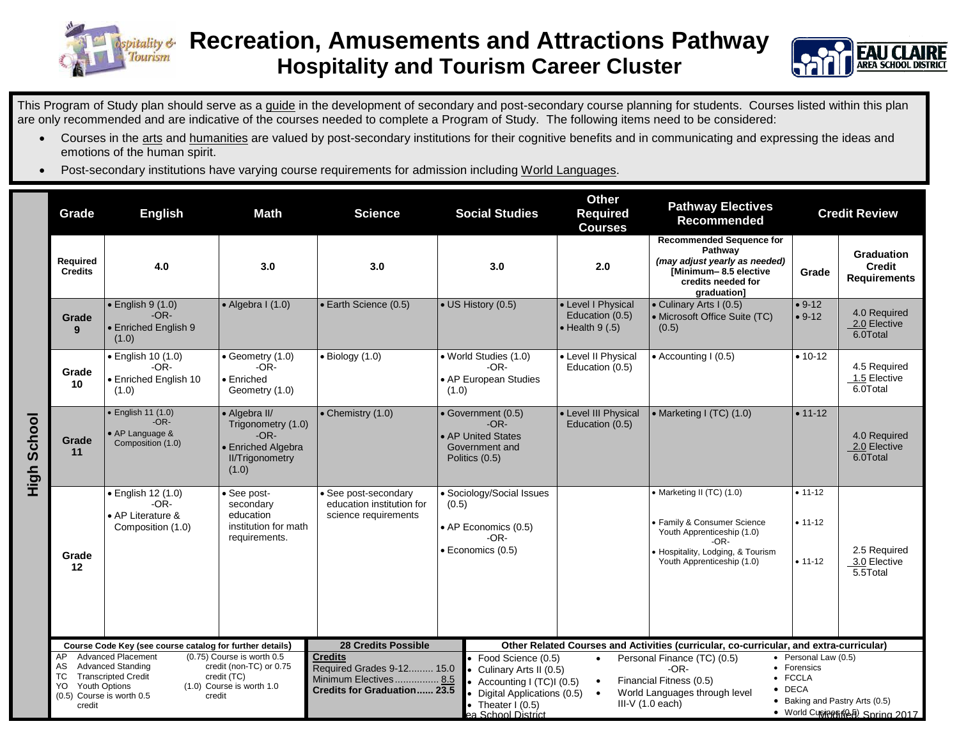



This Program of Study plan should serve as a guide in the development of secondary and post-secondary course planning for students. Courses listed within this plan are only recommended and are indicative of the courses needed to complete a Program of Study. The following items need to be considered:

- Courses in the arts and humanities are valued by post-secondary institutions for their cognitive benefits and in communicating and expressing the ideas and emotions of the human spirit.
- Post-secondary institutions have varying course requirements for admission including World Languages.

|                | Grade                                                                                                                     | <b>English</b>                                                         | <b>Science</b><br><b>Math</b>                                                                          |                                                                                          | <b>Social Studies</b>                                                                           | <b>Other</b><br><b>Pathway Electives</b><br><b>Required</b><br><b>Recommended</b><br><b>Courses</b>                                                                                                                                                                                                                         |                                                                                                                                                                   | <b>Credit Review</b>                    |                                                    |  |  |
|----------------|---------------------------------------------------------------------------------------------------------------------------|------------------------------------------------------------------------|--------------------------------------------------------------------------------------------------------|------------------------------------------------------------------------------------------|-------------------------------------------------------------------------------------------------|-----------------------------------------------------------------------------------------------------------------------------------------------------------------------------------------------------------------------------------------------------------------------------------------------------------------------------|-------------------------------------------------------------------------------------------------------------------------------------------------------------------|-----------------------------------------|----------------------------------------------------|--|--|
|                | Required<br><b>Credits</b>                                                                                                | 4.0                                                                    | 3.0                                                                                                    | 3.0                                                                                      | 3.0                                                                                             | 2.0                                                                                                                                                                                                                                                                                                                         | <b>Recommended Sequence for</b><br>Pathway<br>(may adjust yearly as needed)<br>[Minimum-8.5 elective<br>credits needed for<br>graduation]                         | Grade                                   | Graduation<br><b>Credit</b><br><b>Requirements</b> |  |  |
|                | Grade<br>9                                                                                                                | $\bullet$ English 9 (1.0)<br>$-OR-$<br>• Enriched English 9<br>(1.0)   | $\bullet$ Algebra I (1.0)                                                                              | • Earth Science (0.5)                                                                    | $\bullet$ US History (0.5)                                                                      | • Level I Physical<br>Education (0.5)<br>$\bullet$ Health 9 (.5)                                                                                                                                                                                                                                                            | • Culinary Arts I (0.5)<br>• Microsoft Office Suite (TC)<br>(0.5)                                                                                                 | $• 9-12$<br>$• 9-12$                    | 4.0 Required<br>2.0 Elective<br>6.0Total           |  |  |
|                | Grade<br>10                                                                                                               | · English 10 (1.0)<br>$-OR-$<br>• Enriched English 10<br>(1.0)         | • Geometry (1.0)<br>$-OR-$<br>$\bullet$ Enriched<br>Geometry (1.0)                                     | $\bullet$ Biology (1.0)                                                                  | · World Studies (1.0)<br>$-OR-$<br>• AP European Studies<br>(1.0)                               | • Level II Physical<br>Education (0.5)                                                                                                                                                                                                                                                                                      | • Accounting I (0.5)                                                                                                                                              | $• 10-12$                               | 4.5 Required<br>1.5 Elective<br>6.0Total           |  |  |
| School<br>High | Grade<br>11                                                                                                               | • English 11 (1.0)<br>$-OR-$<br>• AP Language &<br>Composition (1.0)   | • Algebra II/<br>Trigonometry (1.0)<br>$-OR-$<br>• Enriched Algebra<br><b>II/Trigonometry</b><br>(1.0) | • Chemistry (1.0)                                                                        | • Government (0.5)<br>$-OR-$<br>• AP United States<br>Government and<br>Politics (0.5)          | • Level III Physical<br>Education (0.5)                                                                                                                                                                                                                                                                                     | • Marketing I (TC) (1.0)                                                                                                                                          | $• 11 - 12$                             | 4.0 Required<br>2.0 Elective<br>6.0Total           |  |  |
|                | Grade<br>12                                                                                                               | · English 12 (1.0)<br>$-OR-$<br>• AP Literature &<br>Composition (1.0) | · See post-<br>secondary<br>education<br>institution for math<br>requirements.                         | • See post-secondary<br>education institution for<br>science requirements                | • Sociology/Social Issues<br>(0.5)<br>• AP Economics (0.5)<br>$-OR-$<br>$\cdot$ Economics (0.5) |                                                                                                                                                                                                                                                                                                                             | • Marketing II (TC) (1.0)<br>• Family & Consumer Science<br>Youth Apprenticeship (1.0)<br>-OR-<br>· Hospitality, Lodging, & Tourism<br>Youth Apprenticeship (1.0) | $• 11 - 12$<br>$• 11-12$<br>$• 11 - 12$ | 2.5 Required<br>3.0 Elective<br>5.5Total           |  |  |
|                | Course Code Key (see course catalog for further details)<br><b>Advanced Placement</b><br>(0.75) Course is worth 0.5<br>AP |                                                                        |                                                                                                        | <b>28 Credits Possible</b><br><b>Credits</b>                                             | • Food Science (0.5)                                                                            | Other Related Courses and Activities (curricular, co-curricular, and extra-curricular)<br>$\bullet$ Personal Law (0.5)<br>Personal Finance (TC) (0.5)<br>$\bullet$                                                                                                                                                          |                                                                                                                                                                   |                                         |                                                    |  |  |
|                | AS<br>ТC<br><b>Youth Options</b><br>YO.<br>(0.5) Course is worth 0.5<br>credit                                            | <b>Advanced Standing</b><br><b>Transcripted Credit</b><br>credit       | credit (non-TC) or 0.75<br>credit (TC)<br>(1.0) Course is worth 1.0                                    | Required Grades 9-12 15.0<br>Minimum Electives 8.5<br><b>Credits for Graduation 23.5</b> | • Theater $1(0.5)$<br>ea School District                                                        | • Forensics<br>$-OR-$<br>• Culinary Arts II (0.5)<br>• FCCLA<br>Financial Fitness (0.5)<br>• Accounting I (TC)I (0.5)<br>$\bullet$<br>$\bullet$ DECA<br>World Languages through level<br>Digital Applications (0.5)<br>$\bullet$<br>• Baking and Pastry Arts (0.5)<br>$III-V(1.0 each)$<br>• World Cupines (48) Spring 2017 |                                                                                                                                                                   |                                         |                                                    |  |  |